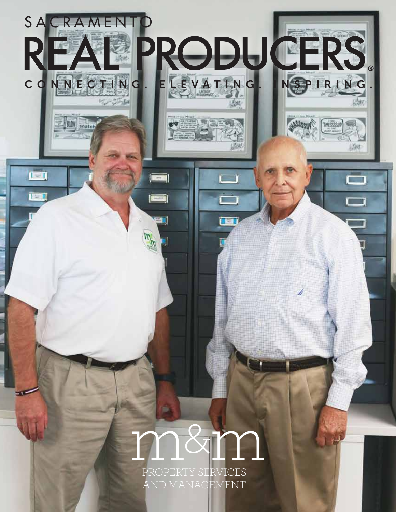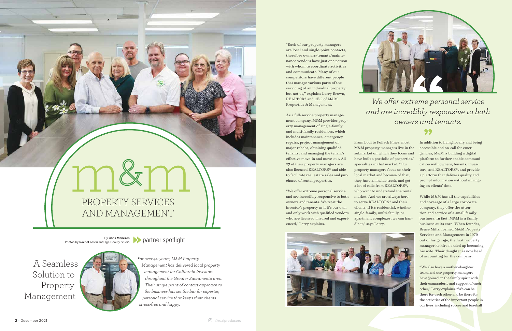

## PROPERTY SERVICES AND MANAGEMENT

"Each of our property managers are local and single-point contacts, therefore owners/tenants/maintenance vendors have just one person with whom to coordinate activities and communicate. Many of our competitors have different people that manage various parts of the servicing of an individual property, but not us," explains Larry Brown, REALTOR® and CEO of M&M Properties & Management.

As a full-service property management company, M&M provides property management of single-family and multi-family residences, which includes maintenance, emergency repairs, project management of major rehabs, obtaining qualified tenants, and managing the tenant's effective move-in and move-out. All **27** of their property managers are also licensed REALTORS® and able to facilitate real estate sales and purchases of rental properties.

"We offer extreme personal service and are incredibly responsive to both owners and tenants. We treat the investor's property as if it's our own and only work with qualified vendors who are licensed, insured and experienced," Larry explains.







From Lodi to Pollack Pines, most M&M property managers live in the submarket on which they focus and have built a portfolio of properties/ specialties in that market. "Our property managers focus on their local market and because of that, they have an inside track, and get a lot of calls from REALTORS®, who want to understand the rental market. And we are always here to serve REALTORS® and their clients. If it's residential, whether single-family, multi-family, or apartment complexes, we can handle it," says Larry.

In addition to living locally and being accessible and on-call for emergencies, M&M is building a digital platform to further enable communication with owners, tenants, investors, and REALTORS®, and provide a platform that delivers quality and prompt information without infringing on clients' time.

While M&M has all the capabilities and coverage of a large corporate company, they offer the attention and service of a small family business. In fact, M&M is a family business at its core. When founder, Bruce Mills, formed M&M Property Services and Management in 1979 out of his garage, the first property manager he hired ended up becoming his wife. Their daughter is now head of accounting for the company.

"We also have a mother-daughter team, and our property managers have 'joined' in the family spirit with their camaraderie and support of each other," Larry explains. "We can be there for each other and be there for the activities of the important people in our lives, including soccer and baseball

Photos by **Rachel Lesiw**, Indulge Beauty Studio

By Chris Menezes **Department Spotlight** 

A Seamless Solution to Property Management



*For over 40 years, M&M Property Management has delivered local property management for California investors throughout the Greater Sacramento area. Their single-point-of-contact approach to the business has set the bar for superior, personal service that keeps their clients stress-free and happy.* 

*We offer extreme personal service and are incredibly responsive to both owners and tenants.* 

99